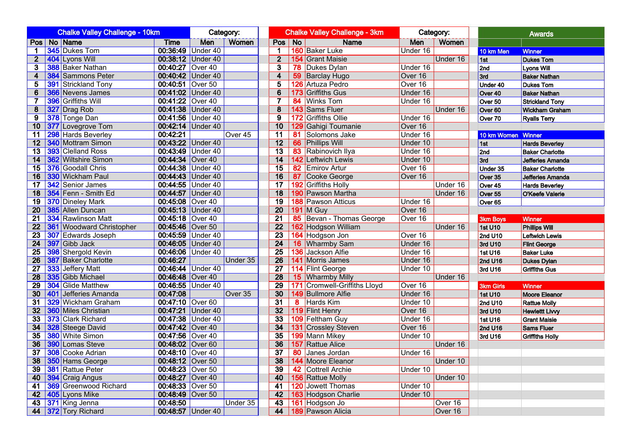|                 | <b>Chalke Valley Challenge - 10km</b> |                                 |                  |                   | Category: |                         | <b>Chalke Valley Challenge - 3km</b> |                              | Category: |              | <b>Awards</b>      |                        |  |
|-----------------|---------------------------------------|---------------------------------|------------------|-------------------|-----------|-------------------------|--------------------------------------|------------------------------|-----------|--------------|--------------------|------------------------|--|
|                 |                                       | Pos   No   Name                 | Time             | Men               | Women     | Pos No                  |                                      | <b>Name</b>                  | Men       | <b>Women</b> |                    |                        |  |
| $\mathbf 1$     |                                       | 345 Dukes Tom                   |                  | 00:36:49 Under 40 |           | 1                       |                                      | 160 Baker Luke               | Under 16  |              | 10 km Men          | <b>Winner</b>          |  |
| 2 <sup>2</sup>  |                                       | 404 Lyons Will                  |                  | 00:38:12 Under 40 |           | $\mathbf{2}$            |                                      | <b>154</b> Grant Maisie      |           | Under 16     | 1st                | <b>Dukes Tom</b>       |  |
| 3               |                                       | <b>388</b> Baker Nathan         | 00:40:27 Over 40 |                   |           | 3                       |                                      | <b>78</b> Dukes Dylan        | Under 16  |              | 2nd                | Lyons Will             |  |
| 4               |                                       | <b>384</b> Sammons Peter        |                  | 00:40:42 Under 40 |           | $\overline{\mathbf{4}}$ |                                      | 59 Barclay Hugo              | Over 16   |              | 3rd                | <b>Baker Nathan</b>    |  |
| 5               |                                       | <b>391 Strickland Tony</b>      | 00:40:51 Over 50 |                   |           | $\overline{5}$          |                                      | 126 Artuza Pedro             | Over 16   |              | Under 40           | <b>Dukes Tom</b>       |  |
| 6               |                                       | <b>366</b> Nevens James         |                  | 00:41:02 Under 40 |           | 6                       |                                      | 173 Griffiths Gus            | Under 16  |              | Over 40            | <b>Baker Nathan</b>    |  |
| $\overline{7}$  |                                       | 396 Griffiths Will              | 00:41:22 Over 40 |                   |           | 7                       |                                      | 84 Winks Tom                 | Under 16  |              | Over 50            | <b>Strickland Tony</b> |  |
| 8               |                                       | 327 Drag Rob                    |                  | 00:41:38 Under 40 |           | 8                       |                                      | 143 Sams Fluer               |           | Under 16     | Over 60            | <b>Wickham Graham</b>  |  |
| 9               |                                       | 378 Tonge Dan                   |                  | 00:41:56 Under 40 |           | $\overline{9}$          |                                      | 172 Griffiths Ollie          | Under 16  |              | Over 70            | <b>Ryalls Terry</b>    |  |
| 10              |                                       | 377 Lovegrove Tom               |                  | 00:42:14 Under 40 |           | 10                      |                                      | 129 Gahigi Toumanie          | Over 16   |              |                    |                        |  |
| 11              |                                       | 298 Hards Beverley              | 00:42:21         |                   | Over 45   | 11                      |                                      | 81 Solomons Jake             | Under 16  |              | 10 km Women Winner |                        |  |
| 12              |                                       | <b>340 Mottram Simon</b>        |                  | 00:43:22 Under 40 |           | 12                      |                                      | 66 Phillips Will             | Under 10  |              | 1st                | <b>Hards Beverley</b>  |  |
| 13              |                                       | 393 Clelland Ross               |                  | 00:43:49 Under 40 |           | $\overline{13}$         |                                      | 83 Rabinovich Ilya           | Under 16  |              | 2nd                | <b>Baker Charlotte</b> |  |
| 14              |                                       | <b>362</b> Wiltshire Simon      | 00:44:34 Over 40 |                   |           | 14                      |                                      | 142 Leftwich Lewis           | Under 10  |              | 3rd                | Jefferies Amanda       |  |
| 15              |                                       | <b>376</b> Goodall Chris        |                  | 00:44:38 Under 40 |           | 15                      |                                      | 82 Emirov Artur              | Over 16   |              | Under 35           | <b>Baker Charlotte</b> |  |
| 16              |                                       | 330 Wickham Paul                |                  | 00:44:43 Under 40 |           | 16                      |                                      | 87 Cooke George              | Over 16   |              | Over 35            | Jefferies Amanda       |  |
| 17              |                                       | <b>342</b> Senior James         |                  | 00:44:55 Under 40 |           | 17                      |                                      | 192 Griffiths Holly          |           | Under 16     | Over 45            | <b>Hards Beverley</b>  |  |
| 18              |                                       | 354 Fenn - Smith Ed             |                  | 00:44:57 Under 40 |           | 18                      |                                      | 190 Pawson Martha            |           | Under 16     | Over 55            | O'Keefe Valerie        |  |
| 19              |                                       | <b>370</b> Dineley Mark         | 00:45:08 Over 40 |                   |           | $\overline{19}$         |                                      | <b>188 Pawson Atticus</b>    | Under 16  |              | Over 65            |                        |  |
| 20              |                                       | 385 Allen Duncan                |                  | 00:45:13 Under 40 |           | 20                      |                                      | <b>191 M Guy</b>             | Over 16   |              |                    |                        |  |
| 21              |                                       | <b>334 Rawlinson Matt</b>       | 00:45:18 Over 40 |                   |           | $\overline{21}$         |                                      | 85 Bevan - Thomas George     | Over 16   |              | <b>3km Boys</b>    | Winner                 |  |
| $\overline{22}$ |                                       | <b>361 Woodward Christopher</b> | 00:45:46 Over 50 |                   |           | 22                      |                                      | 162 Hodgson William          |           | Under 16     | 1st U10            | <b>Phillips Will</b>   |  |
| $\overline{23}$ |                                       | <b>307</b> Edwards Joseph       |                  | 00:45:59 Under 40 |           | 23                      |                                      | 164 Hodgson Jon              | Over 16   |              | 2nd U10            | Leftwich Lewis         |  |
| 24              |                                       | 397 Gibb Jack                   |                  | 00:46:05 Under 40 |           | $\overline{24}$         |                                      | 16 Wharmby Sam               | Under 16  |              | 3rd U10            | <b>Flint George</b>    |  |
| 25              |                                       | <b>398</b> Shergold Kevin       |                  | 00:46:06 Under 40 |           | $\overline{25}$         |                                      | 136 Jackson Alfie            | Under 16  |              | 1st U16            | <b>Baker Luke</b>      |  |
| 26              |                                       | <b>387</b> Baker Charlotte      | 00:46:27         |                   | Under 35  | $\overline{26}$         |                                      | 141 Morris James             | Under 16  |              | 2nd U16            | <b>Dukes Dylan</b>     |  |
| 27              |                                       | 333 Jeffery Matt                |                  | 00:46:44 Under 40 |           | $\overline{27}$         |                                      | 114 Flint George             | Under 10  |              | 3rd U16            | <b>Griffiths Gus</b>   |  |
| 28              |                                       | 335 Gibb Michael                | 00:46:48 Over 40 |                   |           | 28                      |                                      | 15 Wharmby Milly             |           | Under 16     |                    |                        |  |
| 29              |                                       | 304 Glide Matthew               |                  | 00:46:55 Under 40 |           | $\overline{29}$         |                                      | 171 Cromwell-Griffiths Lloyd | Over 16   |              | 3km Girls          | <b>Winner</b>          |  |
| 30              |                                       | 401 Jefferies Amanda            | 00:47:08         |                   | Over 35   | 30                      |                                      | 149 Bullmore Alfie           | Under 16  |              | 1st U10            | Moore Eleanor          |  |
| 31              |                                       | 329 Wickham Graham              | 00:47:10 Over 60 |                   |           | 31                      |                                      | 8 Hards Kim                  | Under 10  |              | 2nd U10            | <b>Rattue Molly</b>    |  |
| 32              |                                       | <b>360</b> Miles Christian      |                  | 00:47:21 Under 40 |           | 32                      |                                      | 119 Flint Henry              | Over 16   |              | 3rd U10            | <b>Hewlettt Livvy</b>  |  |
| 33              |                                       | 373 Clark Richard               |                  | 00:47:38 Under 40 |           | 33                      |                                      | 109 Feltham Guy              | Under 16  |              | 1st U16            | <b>Grant Maisie</b>    |  |
| 34              |                                       | 328 Steege David                | 00:47:42 Over 40 |                   |           | 34                      |                                      | <b>131</b> Crossley Steven   | Over 16   |              | <b>2nd U16</b>     | Sams Fluer             |  |
| 35              |                                       | <b>380</b> White Simon          | 00:47:56 Over 40 |                   |           | 35                      |                                      | 199 Mann Mikey               | Under 10  |              | 3rd U16            | <b>Griffiths Holly</b> |  |
| 36              |                                       | 390 Lomas Steve                 | 00:48:02 Over 60 |                   |           | 36                      |                                      | <b>157</b> Rattue Alice      |           | Under 16     |                    |                        |  |
| 37              |                                       | <b>308</b> Cooke Adrian         | 00:48:10 Over 40 |                   |           | $\overline{37}$         |                                      | 80 Janes Jordan              | Under 16  |              |                    |                        |  |
| 38              |                                       | <b>350</b> Hams George          | 00:48:12 Over 50 |                   |           | 38                      |                                      | 144 Moore Eleanor            |           | Under 10     |                    |                        |  |
| 39              |                                       | <b>381 Rattue Peter</b>         | 00:48:23 Over 50 |                   |           | 39                      |                                      | 42 Cottrell Archie           | Under 10  |              |                    |                        |  |
| 40              |                                       | 394 Craig Angus                 | 00:48:27 Over 40 |                   |           | 40                      |                                      | 156 Rattue Molly             |           | Under 10     |                    |                        |  |
| 41              |                                       | 369 Greenwood Richard           | 00:48:33 Over 50 |                   |           | 41                      |                                      | 120 Jowett Thomas            | Under 10  |              |                    |                        |  |
| 42              |                                       | 405 Lyons Mike                  | 00:48:49 Over 50 |                   |           | 42                      |                                      | 163 Hodgson Charlie          | Under 10  |              |                    |                        |  |
| 43              |                                       | 371 King Jenna                  | 00:48:50         |                   | Under 35  | 43                      |                                      | 161 Hodgson Jo               |           | Over 16      |                    |                        |  |
|                 |                                       | 44 372 Tory Richard             |                  | 00:48:57 Under 40 |           | 44                      |                                      | 189 Pawson Alicia            |           | Over 16      |                    |                        |  |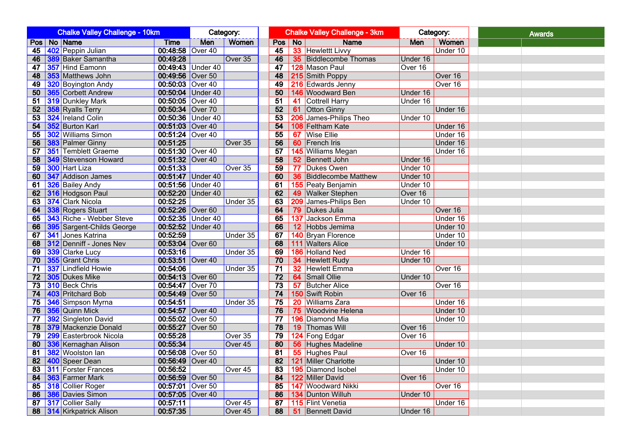|          | <b>Chalke Valley Challenge - 10km</b> |                                             |                                      | Category:         |          |                 | <b>Chalke Valley Challenge - 3km</b> | Category:                              |          | <b>Awards</b> |  |
|----------|---------------------------------------|---------------------------------------------|--------------------------------------|-------------------|----------|-----------------|--------------------------------------|----------------------------------------|----------|---------------|--|
|          |                                       | Pos   No   Name                             | <b>Time</b>                          | Men               | Women    |                 | Pos No                               | <b>Name</b>                            | Men      | Women         |  |
| 45       |                                       | 402 Peppin Julian                           | 00:48:58 Over 40                     |                   |          | 45              |                                      | 33 Hewlettt Livvy                      |          | Under 10      |  |
| 46       |                                       | <b>389</b> Baker Samantha                   | 00:49:28                             |                   | Over 35  | 46              |                                      | <b>35</b> Biddlecombe Thomas           | Under 16 |               |  |
| 47       |                                       | 357 Hind Eamonn                             |                                      | 00:49:43 Under 40 |          | 47              |                                      | 128 Mason Paul                         | Over 16  |               |  |
| 48       |                                       | 353 Matthews John                           | 00:49:56 Over 50                     |                   |          | 48              |                                      | 215 Smith Poppy                        |          | Over 16       |  |
| 49       |                                       | 320 Boyington Andy                          | 00:50:03 Over 40                     |                   |          | 49              |                                      | 216 Edwards Jenny                      |          | Over 16       |  |
| 50       |                                       | <b>365</b> Corbett Andrew                   |                                      | 00:50:04 Under 40 |          | 50              |                                      | 146 Woodward Ben                       | Under 16 |               |  |
| 51       |                                       | <b>319</b> Dunkley Mark                     | 00:50:05 Over 40                     |                   |          | 51              |                                      | 41 Cottrell Harry                      | Under 16 |               |  |
| 52       |                                       | 358 Ryalls Terry                            | 00:50:34 Over 70                     |                   |          | 52              |                                      | 61 Otton Ginny                         |          | Under 16      |  |
| 53       |                                       | 324 Ireland Colin                           |                                      | 00:50:36 Under 40 |          | 53              |                                      | 206 James-Philips Theo                 | Under 10 |               |  |
| 54       |                                       | 352 Burton Karl                             | 00:51:03 Over 40                     |                   |          | $\overline{54}$ |                                      | 108 Feltham Kate                       |          | Under 16      |  |
| 55       |                                       | 302 Williams Simon                          | 00:51:24 Over 40                     |                   |          | $\overline{55}$ |                                      | 67 Wise Ellie                          |          | Under 16      |  |
| 56       |                                       | <b>383</b> Palmer Ginny                     | 00:51:25                             |                   | Over 35  | 56              |                                      | 60 French Iris                         |          | Under 16      |  |
| 57       |                                       | <b>351</b> Temblett Graeme                  | 00:51:30 Over 40                     |                   |          | 57              |                                      | 145 Williams Megan                     |          | Under 16      |  |
| 58       |                                       | 349 Stevenson Howard                        | 00:51:32 Over 40                     |                   |          | 58              |                                      | 52 Bennett John                        | Under 16 |               |  |
| 59       |                                       | 300 Hart Liza                               | 00:51:33                             |                   | Over 35  | $\overline{59}$ |                                      | 77 Dukes Owen                          | Under 10 |               |  |
| 60       |                                       | 347 Addison James                           |                                      | 00:51:47 Under 40 |          | 60              |                                      | <b>36 Biddlecombe Matthew</b>          | Under 10 |               |  |
| 61       |                                       | 326 Bailey Andy                             |                                      | 00:51:56 Under 40 |          | 61              |                                      | <b>155</b> Peaty Benjamin              | Under 10 |               |  |
| 62       |                                       | 316 Hodgson Paul                            |                                      | 00:52:20 Under 40 |          | 62              |                                      | 49 Walker Stephen                      | Over 16  |               |  |
| 63       |                                       | 374 Clark Nicola                            | 00:52:25                             |                   | Under 35 | 63              |                                      | 209 James-Philips Ben                  | Under 10 |               |  |
| 64       |                                       | 338 Rogers Stuart                           | 00:52:26 Over 60                     |                   |          | 64              |                                      | 79 Dukes Julia                         |          | Over 16       |  |
| 65       |                                       | 343 Riche - Webber Steve                    |                                      | 00:52:35 Under 40 |          | 65              |                                      | 137 Jackson Emma                       |          | Under 16      |  |
| 66       |                                       | 395 Sargent-Childs George                   |                                      | 00:52:52 Under 40 |          | 66              |                                      | 12 Hobbs Jemima                        |          | Under 10      |  |
| 67       |                                       | 341 Jones Katrina                           | 00:52:59                             |                   | Under 35 | 67              |                                      | 140 Bryan Florence                     |          | Under 10      |  |
| 68       |                                       | 312 Denniff - Jones Nev                     | 00:53:04 Over 60                     |                   |          | 68              |                                      | 111 Walters Alice                      |          | Under 10      |  |
| 69       |                                       | 339 Clarke Lucy                             | 00:53:16                             |                   | Under 35 | 69              |                                      | 186 Holland Ned                        | Under 16 |               |  |
| 70       |                                       | 355 Grant Chris                             | 00:53:51 Over 40                     |                   |          | 70              |                                      | 34 Hewlett Rudy                        | Under 10 |               |  |
| 71       |                                       | 337 Lindfield Howie                         | 00:54:06                             |                   | Under 35 | 71              |                                      | <b>32</b> Hewlett Emma                 |          | Over 16       |  |
| 72       |                                       | 305 Dukes Mike                              | 00:54:13 Over 60                     |                   |          | 72              |                                      | 64 Small Ollie                         | Under 10 |               |  |
| 73       |                                       | <b>310 Beck Chris</b>                       | 00:54:47 Over 70                     |                   |          | $\overline{73}$ |                                      | <b>57</b> Butcher Alice                |          | Over 16       |  |
| 74       |                                       | 403 Pritchard Bob                           | 00:54:49 Over 50<br>00:54:51         |                   |          | 74<br>75        |                                      | 150 Swift Robin                        | Over 16  |               |  |
| 75       |                                       | 346 Simpson Myrna                           |                                      |                   | Under 35 |                 |                                      | 20 Williams Zara<br>75 Woodvine Helena |          | Under 16      |  |
| 76       |                                       | 356 Quinn Mick                              | 00:54:57 Over 40<br>00:55:02 Over 50 |                   |          | 76<br>77        |                                      |                                        |          | Under 10      |  |
| 77<br>78 |                                       | 392 Singleton David<br>379 Mackenzie Donald | 00:55:27 Over 50                     |                   |          | $\overline{78}$ |                                      | 196 Diamond Mia<br>19 Thomas Will      | Over 16  | Under 10      |  |
| 79       |                                       | 299 Easterbrook Nicola                      | 00:55:28                             |                   | Over 35  | 79              |                                      | 124 Fong Edgar                         | Over 16  |               |  |
| 80       |                                       | 336 Kernaghan Alison                        | 00:55:34                             |                   | Over 45  | 80              |                                      | <b>56 Hughes Madeline</b>              |          | Under 10      |  |
| 81       |                                       | 382 Woolston lan                            | 00:56:08 Over 50                     |                   |          | $\overline{81}$ |                                      | 55 Hughes Paul                         | Over 16  |               |  |
| 82       |                                       | 400 Speer Dean                              | 00:56:49 Over 40                     |                   |          | 82              |                                      | 121 Miller Charlotte                   |          | Under 10      |  |
| 83       |                                       | <b>311 Forster Frances</b>                  | 00:56:52                             |                   | Over 45  | 83              |                                      | 195 Diamond Isobel                     |          | Under 10      |  |
| 84       |                                       | 363 Farmer Mark                             | 00:56:59 Over 50                     |                   |          | 84              |                                      | 122 Miller David                       | Over 16  |               |  |
| 85       |                                       | 318 Collier Roger                           | 00:57:01 Over 50                     |                   |          | 85              |                                      | 147 Woodward Nikki                     |          | Over 16       |  |
| 86       |                                       | 386 Davies Simon                            | 00:57:05 Over 40                     |                   |          | 86              |                                      | 134 Dunton Willuh                      | Under 10 |               |  |
| 87       |                                       | <b>317</b> Collier Sally                    | 00:57:11                             |                   | Over 45  | 87              |                                      | 115 Flint Venetia                      |          | Under 16      |  |
|          |                                       | 88 314 Kirkpatrick Alison                   | 00:57:35                             |                   | Over 45  | 88              |                                      | <b>51</b> Bennett David                | Under 16 |               |  |
|          |                                       |                                             |                                      |                   |          |                 |                                      |                                        |          |               |  |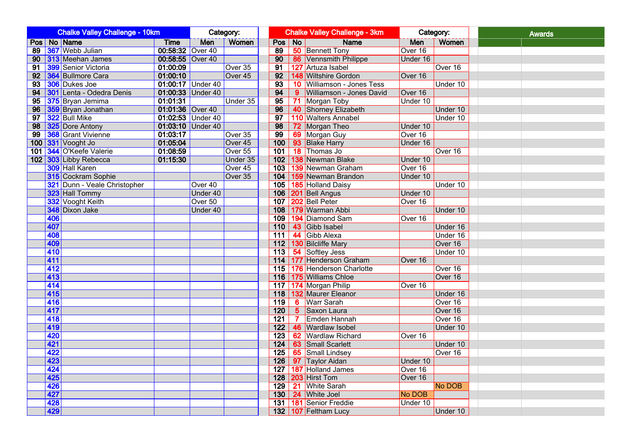|                 |     | <b>Chalke Valley Challenge - 10km</b> | Category:         |                   |                    |                 | <b>Chalke Valley Challenge - 3km</b> | Category:                   |            | <b>Awards</b> |  |
|-----------------|-----|---------------------------------------|-------------------|-------------------|--------------------|-----------------|--------------------------------------|-----------------------------|------------|---------------|--|
| Pos   No   Name |     |                                       | <b>Time</b>       | Men               | <b>Women</b>       |                 | Pos No                               | <b>Name</b>                 | <b>Men</b> | Women         |  |
|                 |     | 89 367 Webb Julian                    | 00:58:32 Over 40  |                   |                    | 89              |                                      | <b>50 Bennett Tony</b>      | Over 16    |               |  |
|                 |     | 90 313 Meehan James                   | 00:58:55 Over 40  |                   |                    | 90              |                                      | 86 Vennsmith Philippe       | Under 16   |               |  |
| 91              |     | 399 Senior Victoria                   | 01:00:09          |                   | Over 35            | $\overline{91}$ |                                      | 127 Artuza Isabel           |            | Over 16       |  |
| 92              |     | 364 Bullmore Cara                     | 01:00:10          |                   | Over <sub>45</sub> | 92              |                                      | 148 Wiltshire Gordon        | Over 16    |               |  |
|                 |     | 93 306 Dukes Joe                      | 01:00:17 Under 40 |                   |                    | 93              |                                      | 10 Williamson - Jones Tess  |            | Under 10      |  |
|                 |     | 94 301 Lenta - Odedra Denis           | 01:00:33 Under 40 |                   |                    | 94              |                                      | 9 Williamson - Jones David  | Over 16    |               |  |
|                 |     | 95 375 Bryan Jemima                   | 01:01:31          |                   | Under 35           | 95              |                                      | 71 Morgan Toby              | Under 10   |               |  |
|                 |     | 96 359 Bryan Jonathan                 | 01:01:36 Over 40  |                   |                    | 96              |                                      | 40 Shorney Elizabeth        |            | Under 10      |  |
| 97              |     | 322 Bull Mike                         |                   | 01:02:53 Under 40 |                    | $\overline{97}$ |                                      | 110 Walters Annabel         |            | Under 10      |  |
|                 |     | 98 325 Dore Antony                    |                   | 01:03:10 Under 40 |                    | 98              |                                      | 72 Morgan Theo              | Under 10   |               |  |
|                 |     | 99 368 Grant Vivienne                 | 01:03:17          |                   | Over 35            | 99              |                                      | 69 Morgan Guy               | Over 16    |               |  |
|                 |     | 100 331 Vooght Jo                     | 01:05:04          |                   | Over <sub>45</sub> |                 |                                      | 100   93   Blake Harry      | Under 16   |               |  |
| 101 I           |     | 344 O'Keefe Valerie                   | 01:08:59          |                   | Over 55            |                 |                                      | 101   18   Thomas Jo        |            | Over 16       |  |
|                 |     | 102 303 Libby Rebecca                 | 01:15:30          |                   | Under 35           |                 |                                      | 102   138 Newman Blake      | Under 10   |               |  |
|                 |     | 309 Hall Karen                        |                   |                   | Over <sub>45</sub> |                 |                                      | 103 139 Newman Graham       | Over 16    |               |  |
|                 |     | 315 Cockram Sophie                    |                   |                   | Over 35            |                 |                                      | 104   159 Newman Brandon    | Under 10   |               |  |
|                 |     | 321 Dunn - Veale Christopher          |                   | Over 40           |                    |                 |                                      | 105   185   Holland Daisy   |            | Under 10      |  |
|                 |     | 323 Hall Tommy                        |                   | Under 40          |                    |                 |                                      | 106   201   Bell Angus      | Under 10   |               |  |
|                 |     | 332 Vooght Keith                      |                   | Over 50           |                    |                 |                                      | 107   202   Bell Peter      | Over 16    |               |  |
|                 |     | 348 Dixon Jake                        |                   | Under 40          |                    |                 |                                      | 108   179 Warman Abbi       |            | Under 10      |  |
|                 | 406 |                                       |                   |                   |                    |                 |                                      | 109   194   Diamond Sam     | Over $16$  |               |  |
|                 | 407 |                                       |                   |                   |                    |                 |                                      | 110 43 Gibb Isabel          |            | Under 16      |  |
|                 | 408 |                                       |                   |                   |                    |                 |                                      | 111 44 Gibb Alexa           |            | Under 16      |  |
|                 | 409 |                                       |                   |                   |                    |                 |                                      | 112   130   Bilcliffe Mary  |            | Over 16       |  |
|                 | 410 |                                       |                   |                   |                    |                 |                                      | 113 54 Softley Jess         |            | Under 10      |  |
|                 | 411 |                                       |                   |                   |                    |                 |                                      | 114 177 Henderson Graham    | Over 16    |               |  |
|                 | 412 |                                       |                   |                   |                    |                 |                                      | 115 176 Henderson Charlotte |            | Over 16       |  |
|                 | 413 |                                       |                   |                   |                    |                 |                                      | 116   175   Williams Chloe  |            | Over 16       |  |
|                 | 414 |                                       |                   |                   |                    |                 |                                      | 117   174 Morgan Philip     | Over 16    |               |  |
|                 | 415 |                                       |                   |                   |                    |                 |                                      | 118   132 Maurer Eleanor    |            | Under 16      |  |
|                 | 416 |                                       |                   |                   |                    | 119             |                                      | 6 Warr Sarah                |            | Over 16       |  |
|                 | 417 |                                       |                   |                   |                    |                 |                                      | 120   5   Saxon Laura       |            | Over 16       |  |
|                 | 418 |                                       |                   |                   |                    |                 |                                      | 121   7 Emden Hannah        |            | Over 16       |  |
|                 | 419 |                                       |                   |                   |                    | 122             |                                      | 46 Wardlaw Isobel           |            | Under 10      |  |
|                 | 420 |                                       |                   |                   |                    |                 |                                      | 123 62 Wardlaw Richard      | Over 16    |               |  |
|                 | 421 |                                       |                   |                   |                    |                 |                                      | 124   63   Small Scarlett   |            | Under 10      |  |
|                 | 422 |                                       |                   |                   |                    |                 |                                      | 125 65 Small Lindsey        |            | Over 16       |  |
|                 | 423 |                                       |                   |                   |                    |                 |                                      | 126 97 Taylor Aidan         | Under 10   |               |  |
|                 | 424 |                                       |                   |                   |                    |                 |                                      | 127   187   Holland James   | Over 16    |               |  |
|                 | 425 |                                       |                   |                   |                    |                 |                                      | 128 203 Hirst Tom           | Over 16    |               |  |
|                 | 426 |                                       |                   |                   |                    |                 |                                      | 129 21 White Sarah          |            | No DOB        |  |
|                 | 427 |                                       |                   |                   |                    |                 |                                      | 130   24   White Joel       | No DOB     |               |  |
|                 | 428 |                                       |                   |                   |                    |                 |                                      | 131   181   Senior Freddie  | Under 10   |               |  |
|                 | 429 |                                       |                   |                   |                    |                 |                                      | 132   107   Feltham Lucy    |            | Under 10      |  |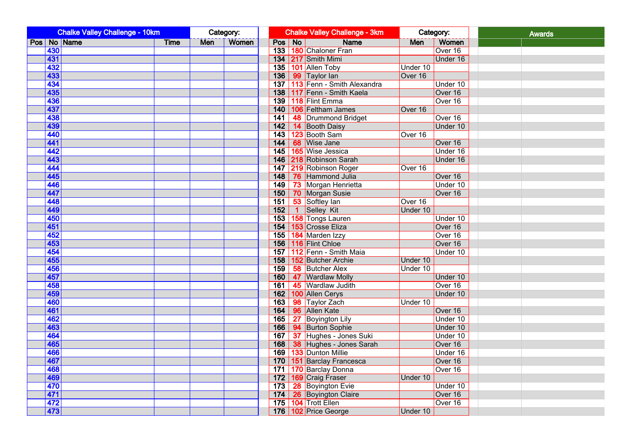| <b>Chalke Valley Challenge - 10km</b> |             |            | Category:    |        | <b>Chalke Valley Challenge - 3km</b> |            | Category: | <b>Awards</b> |
|---------------------------------------|-------------|------------|--------------|--------|--------------------------------------|------------|-----------|---------------|
| Pos No Name                           | <b>Time</b> | <b>Men</b> | <b>Women</b> | Pos No | <b>Name</b>                          | <b>Men</b> | Women     |               |
| 430                                   |             |            |              |        | 133 180 Chaloner Fran                |            | Over 16   |               |
| 431                                   |             |            |              |        | 134 217 Smith Mimi                   |            | Under 16  |               |
| 432                                   |             |            |              |        | 135   101   Allen Toby               | Under 10   |           |               |
| 433                                   |             |            |              |        | 136   99   Taylor Ian                | Over 16    |           |               |
| 434                                   |             |            |              |        | 137   113   Fenn - Smith Alexandra   |            | Under 10  |               |
| 435                                   |             |            |              |        | 138   117 Fenn - Smith Kaela         |            | Over 16   |               |
| 436                                   |             |            |              |        | 139   118   Flint Emma               |            | Over 16   |               |
| 437                                   |             |            |              |        | 140   106   Feltham James            | Over 16    |           |               |
| 438                                   |             |            |              |        | 141 48 Drummond Bridget              |            | Over 16   |               |
| 439                                   |             |            |              |        | 142 14 Booth Daisy                   |            | Under 10  |               |
| 440                                   |             |            |              |        | 143 123 Booth Sam                    | Over 16    |           |               |
| 441                                   |             |            |              |        | 144   68   Wise Jane                 |            | Over 16   |               |
| 442                                   |             |            |              |        | 145   165   Wise Jessica             |            | Under 16  |               |
| 443                                   |             |            |              |        | 146 218 Robinson Sarah               |            | Under 16  |               |
| 444                                   |             |            |              |        | 147 219 Robinson Roger               | Over 16    |           |               |
| 445                                   |             |            |              |        | 148 76 Hammond Julia                 |            | Over 16   |               |
| 446                                   |             |            |              |        | 149 73 Morgan Henrietta              |            | Under 10  |               |
| 447                                   |             |            |              |        | 150 70 Morgan Susie                  |            | Over 16   |               |
| 448                                   |             |            |              |        | 151 53 Softley Ian                   | Over 16    |           |               |
| 449                                   |             |            |              | 152    | 1 Selley Kit                         | Under 10   |           |               |
| 450                                   |             |            |              |        | 153 158 Tongs Lauren                 |            | Under 10  |               |
| 451                                   |             |            |              |        | 154   153 Crosse Eliza               |            | Over 16   |               |
| 452                                   |             |            |              |        | 155   184 Marden Izzy                |            | Over 16   |               |
| 453                                   |             |            |              |        | 156   116   Flint Chloe              |            | Over 16   |               |
| 454                                   |             |            |              |        | 157 112 Fenn - Smith Maia            |            | Under 10  |               |
| 455                                   |             |            |              |        | 158 152 Butcher Archie               | Under 10   |           |               |
| 456                                   |             |            |              |        | 159   58   Butcher Alex              | Under 10   |           |               |
| 457                                   |             |            |              |        | 160   47   Wardlaw Molly             |            | Under 10  |               |
| 458                                   |             |            |              |        | 161   45   Wardlaw Judith            |            | Over 16   |               |
| 459                                   |             |            |              |        | 162   100 Allen Cerys                |            | Under 10  |               |
| 460                                   |             |            |              |        | 163 98 Taylor Zach                   | Under 10   |           |               |
| 461                                   |             |            |              |        | 164   96   Allen Kate                |            | Over 16   |               |
| 462                                   |             |            |              |        | 165   27   Boyington Lily            |            | Under 10  |               |
| 463                                   |             |            |              |        | 166   94   Burton Sophie             |            | Under 10  |               |
| 464                                   |             |            |              |        | 167 37 Hughes - Jones Suki           |            | Under 10  |               |
| 465                                   |             |            |              |        | 168 38 Hughes - Jones Sarah          |            | Over 16   |               |
| 466                                   |             |            |              |        | 169   133 Dunton Millie              |            | Under 16  |               |
| 467                                   |             |            |              |        | 170   151   Barclay Francesca        |            | Over 16   |               |
| 468                                   |             |            |              |        | 171 170 Barclay Donna                |            | Over 16   |               |
| 469                                   |             |            |              |        | 172   169 Craig Fraser               | Under 10   |           |               |
| 470                                   |             |            |              |        | 173   28   Boyington Evie            |            | Under 10  |               |
| 471                                   |             |            |              |        | 174 26 Boyington Claire              |            | Over 16   |               |
| 472                                   |             |            |              |        | 175   104   Trott Ellen              |            | Over 16   |               |
| 473                                   |             |            |              |        | 176   102 Price George               | Under 10   |           |               |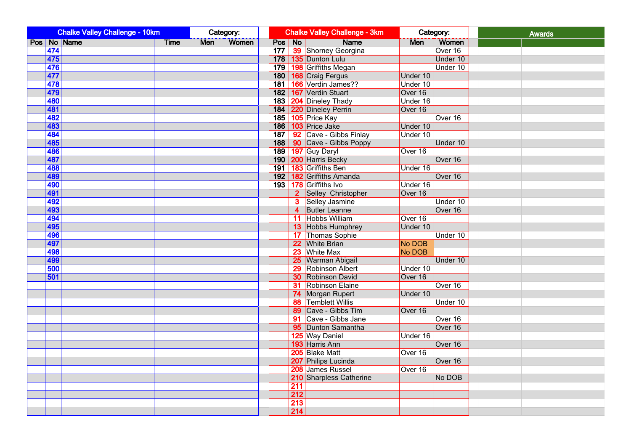|     | <b>Chalke Valley Challenge - 10km</b> |             |     | Category:    |        |                  | <b>Chalke Valley Challenge - 3km</b> |          | Category: | <b>Awards</b> |
|-----|---------------------------------------|-------------|-----|--------------|--------|------------------|--------------------------------------|----------|-----------|---------------|
|     | Pos No Name                           | <b>Time</b> | Men | <b>Women</b> | Pos No |                  | <b>Name</b>                          | Men      | Women     |               |
| 474 |                                       |             |     |              |        |                  | 177 39 Shorney Georgina              |          | Over 16   |               |
| 475 |                                       |             |     |              |        |                  | 178   135   Dunton Lulu              |          | Under 10  |               |
| 476 |                                       |             |     |              |        |                  | 179 198 Griffiths Megan              |          | Under 10  |               |
| 477 |                                       |             |     |              |        |                  | 180   168 Craig Fergus               | Under 10 |           |               |
| 478 |                                       |             |     |              |        |                  | 181 166 Verdin James??               | Under 10 |           |               |
| 479 |                                       |             |     |              |        |                  | 182   167 Verdin Stuart              | Over 16  |           |               |
| 480 |                                       |             |     |              |        |                  | 183   204   Dineley Thady            | Under 16 |           |               |
| 481 |                                       |             |     |              |        |                  | 184 220 Dineley Perrin               | Over 16  |           |               |
| 482 |                                       |             |     |              |        |                  | 185 105 Price Kay                    |          | Over 16   |               |
| 483 |                                       |             |     |              |        |                  | 186 103 Price Jake                   | Under 10 |           |               |
| 484 |                                       |             |     |              |        |                  | 187 92 Cave - Gibbs Finlay           | Under 10 |           |               |
| 485 |                                       |             |     |              |        |                  | 188   90   Cave - Gibbs Poppy        |          | Under 10  |               |
| 486 |                                       |             |     |              |        |                  | 189 197 Guy Daryl                    | Over 16  |           |               |
| 487 |                                       |             |     |              |        |                  | 190   200 Harris Becky               |          | Over 16   |               |
| 488 |                                       |             |     |              |        |                  | 191   183 Griffiths Ben              | Under 16 |           |               |
| 489 |                                       |             |     |              |        |                  | 192 182 Griffiths Amanda             |          | Over 16   |               |
| 490 |                                       |             |     |              |        |                  | 193 178 Griffiths Ivo                | Under 16 |           |               |
| 491 |                                       |             |     |              |        |                  | 2 Selley Christopher                 | Over 16  |           |               |
| 492 |                                       |             |     |              |        |                  | <b>3</b> Selley Jasmine              |          | Under 10  |               |
| 493 |                                       |             |     |              |        |                  | 4 Butler Leanne                      |          | Over 16   |               |
| 494 |                                       |             |     |              |        |                  | 11 Hobbs William                     | Over 16  |           |               |
| 495 |                                       |             |     |              |        |                  | 13 Hobbs Humphrey                    | Under 10 |           |               |
| 496 |                                       |             |     |              |        |                  | 17 Thomas Sophie                     |          | Under 10  |               |
| 497 |                                       |             |     |              |        |                  | 22 White Brian                       | No DOB   |           |               |
| 498 |                                       |             |     |              |        |                  | 23 White Max                         | No DOB   |           |               |
| 499 |                                       |             |     |              |        |                  | 25 Warman Abigail                    |          | Under 10  |               |
| 500 |                                       |             |     |              |        |                  | 29 Robinson Albert                   | Under 10 |           |               |
| 501 |                                       |             |     |              |        |                  | <b>30 Robinson David</b>             | Over 16  |           |               |
|     |                                       |             |     |              |        |                  | <b>31 Robinson Elaine</b>            |          | Over 16   |               |
|     |                                       |             |     |              |        |                  | 74 Morgan Rupert                     | Under 10 |           |               |
|     |                                       |             |     |              |        |                  | <b>88 Temblett Willis</b>            |          | Under 10  |               |
|     |                                       |             |     |              |        |                  | 89 Cave - Gibbs Tim                  | Over 16  |           |               |
|     |                                       |             |     |              |        |                  | 91 Cave - Gibbs Jane                 |          | Over 16   |               |
|     |                                       |             |     |              |        |                  | 95 Dunton Samantha                   |          | Over 16   |               |
|     |                                       |             |     |              |        |                  | 125 Way Daniel                       | Under 16 |           |               |
|     |                                       |             |     |              |        |                  | 193 Harris Ann                       |          | Over 16   |               |
|     |                                       |             |     |              |        |                  | 205 Blake Matt                       | Over 16  |           |               |
|     |                                       |             |     |              |        |                  | 207 Philips Lucinda                  |          | Over 16   |               |
|     |                                       |             |     |              |        |                  | 208 James Russel                     | Over 16  |           |               |
|     |                                       |             |     |              |        |                  | 210 Sharpless Catherine              |          | No DOB    |               |
|     |                                       |             |     |              |        | 211              |                                      |          |           |               |
|     |                                       |             |     |              |        | $\overline{212}$ |                                      |          |           |               |
|     |                                       |             |     |              |        | $\overline{213}$ |                                      |          |           |               |
|     |                                       |             |     |              |        | 214              |                                      |          |           |               |